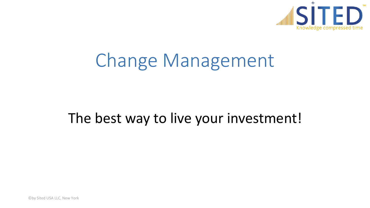

# Change Management

## The best way to live your investment!

©by Sited USA LLC, New York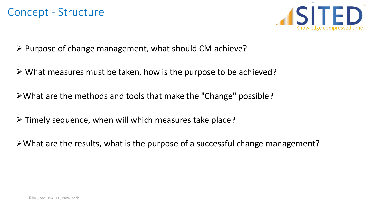

 $\triangleright$  Purpose of change management, what should CM achieve?

 $\triangleright$  What measures must be taken, how is the purpose to be achieved?

What are the methods and tools that make the "Change" possible?

 $\triangleright$  Timely sequence, when will which measures take place?

 $\triangleright$  What are the results, what is the purpose of a successful change management?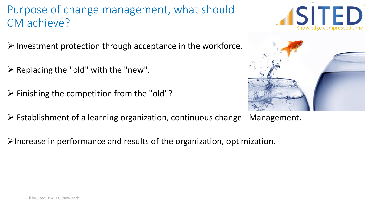#### Purpose of change management, what should CM achieve?

- $\triangleright$  Investment protection through acceptance in the workforce.
- $\triangleright$  Replacing the "old" with the "new".
- $\triangleright$  Finishing the competition from the "old"?
- $\triangleright$  Establishment of a learning organization, continuous change Management.
- $\triangleright$  Increase in performance and results of the organization, optimization.



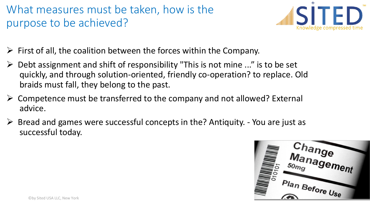### What measures must be taken, how is the purpose to be achieved?



- $\triangleright$  First of all, the coalition between the forces within the Company.
- $\triangleright$  Debt assignment and shift of responsibility "This is not mine ..." is to be set quickly, and through solution-oriented, friendly co-operation? to replace. Old braids must fall, they belong to the past.
- $\triangleright$  Competence must be transferred to the company and not allowed? External advice.
- $\triangleright$  Bread and games were successful concepts in the? Antiquity. You are just as successful today.

Change Management  $50<sub>mg</sub>$ Plan Before Use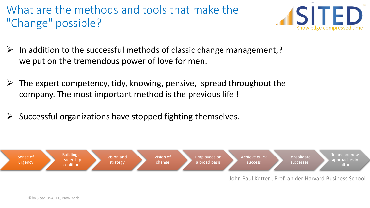What are the methods and tools that make the "Change" possible?



- $\triangleright$  In addition to the successful methods of classic change management,? we put on the tremendous power of love for men.
- $\triangleright$  The expert competency, tidy, knowing, pensive, spread throughout the company. The most important method is the previous life !
- Successful organizations have stopped fighting themselves.

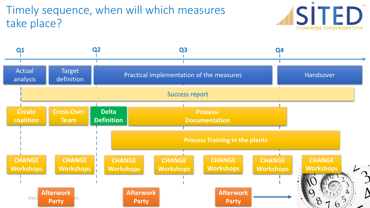### Timely sequence, when will which measures take place?



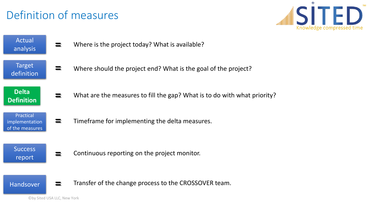### Definition of measures

**=**



Actual analysis

- **=** Where is the project today? What is available?
- Target definition
- **Delta Definition**
- **=** What are the measures to fill the gap? What is to do with what priority?

Where should the project end? What is the goal of the project?

Practical implementation of the measures

**=** Timeframe for implementing the delta measures.

**Success** report

**=** Continuous reporting on the project monitor.

Handsover

**=** Transfer of the change process to the CROSSOVER team.

©by Sited USA LLC, New York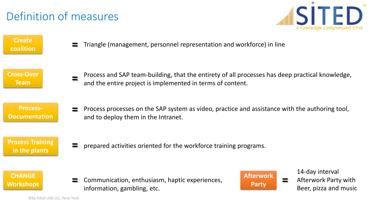### Definition of measures



**Create coalition**

**=** Triangle (management, personnel representation and workforce) in line

#### **Cross-Over Team**

**=** Process and SAP team-building, that the entirety of all processes has deep practical knowledge, and the entire project is implemented in terms of content.

#### **Process-Documentation**

**=** Process processes on the SAP system as video, practice and assistance with the authoring tool, and to deploy them in the Intranet.

#### **Prozess Training in the plants**

**=** prepared activities oriented for the workforce training programs.

#### **CHANGE Workshops**

**= =** Communication, enthusiasm, haptic experiences, information, gambling, etc.



14-day interval

Afterwork Party with Beer, pizza and music